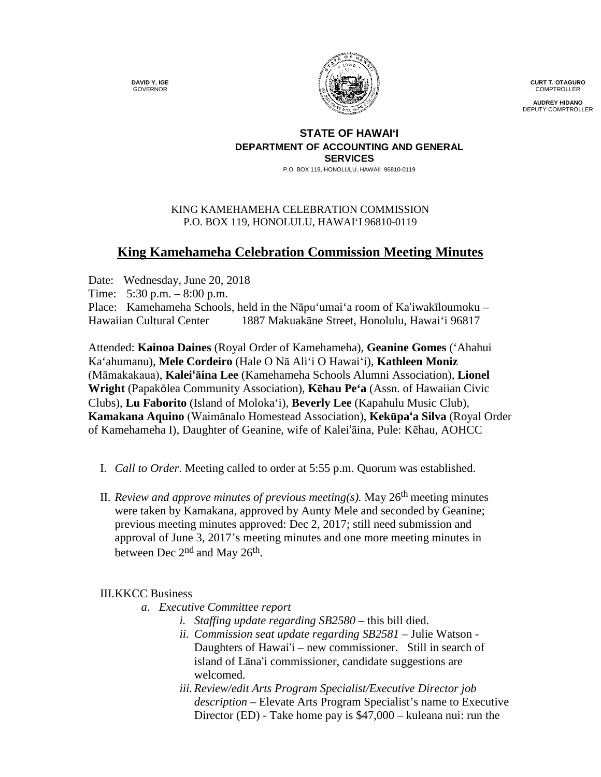**DAVID Y. IGE** GOVERNOR



**CURT T. OTAGURO** COMPTROLLER

**AUDREY HIDANO** DEPUTY COMPTROLLER

## **STATE OF HAWAI'I DEPARTMENT OF ACCOUNTING AND GENERAL SERVICES**

P.O. BOX 119, HONOLULU, HAWAII 96810-0119

## KING KAMEHAMEHA CELEBRATION COMMISSION P.O. BOX 119, HONOLULU, HAWAIʻI 96810-0119

## **King Kamehameha Celebration Commission Meeting Minutes**

Date: Wednesday, June 20, 2018 Time: 5:30 p.m. – 8:00 p.m. Place: Kamehameha Schools, held in the Nāpu'umai'a room of Kaʻiwakīloumoku – Hawaiian Cultural Center 1887 Makuakāne Street, Honolulu, Hawai'i 96817

Attended: **Kainoa Daines** (Royal Order of Kamehameha), **Geanine Gomes** ('Ahahui Ka'ahumanu), **Mele Cordeiro** (Hale O Nā Ali'i O Hawaiʻi), **Kathleen Moniz** (Māmakakaua), **Kaleiʻāina Lee** (Kamehameha Schools Alumni Association), **Lionel Wright** (Papakōlea Community Association), **Kēhau Pe'a** (Assn. of Hawaiian Civic Clubs), **Lu Faborito** (Island of Moloka'i), **Beverly Lee** (Kapahulu Music Club), **Kamakana Aquino** (Waimānalo Homestead Association), **Kekūpaʻa Silva** (Royal Order of Kamehameha I), Daughter of Geanine, wife of Kaleiʻāina, Pule: Kēhau, AOHCC

- I. *Call to Order*. Meeting called to order at 5:55 p.m. Quorum was established.
- II. *Review and approve minutes of previous meeting(s).* May 26th meeting minutes were taken by Kamakana, approved by Aunty Mele and seconded by Geanine; previous meeting minutes approved: Dec 2, 2017; still need submission and approval of June 3, 2017's meeting minutes and one more meeting minutes in between Dec 2<sup>nd</sup> and May 26<sup>th</sup>.

## III.KKCC Business

- *a. Executive Committee report*
	- *i. Staffing update regarding SB2580 –* this bill died.
	- *ii. Commission seat update regarding SB2581 –* Julie Watson Daughters of Hawaiʻi – new commissioner. Still in search of island of Lānaʻi commissioner, candidate suggestions are welcomed.
	- *iii. Review/edit Arts Program Specialist/Executive Director job description –* Elevate Arts Program Specialist's name to Executive Director (ED) - Take home pay is \$47,000 – kuleana nui: run the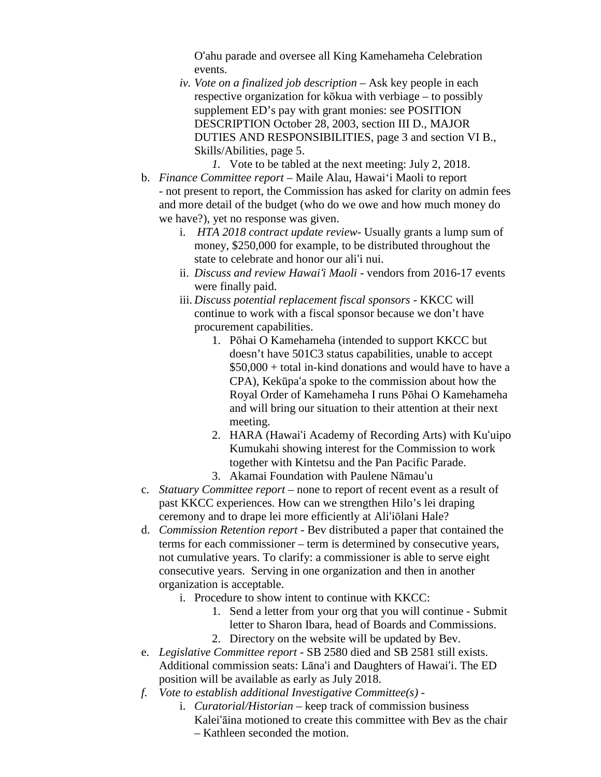Oʻahu parade and oversee all King Kamehameha Celebration events.

*iv. Vote on a finalized job description –* Ask key people in each respective organization for kōkua with verbiage – to possibly supplement ED's pay with grant monies: see POSITION DESCRIPTION October 28, 2003, section III D., MAJOR DUTIES AND RESPONSIBILITIES, page 3 and section VI B., Skills/Abilities, page 5.

*1.* Vote to be tabled at the next meeting: July 2, 2018.

- b. *Finance Committee report –* Maile Alau, Hawai'i Maoli to report - not present to report, the Commission has asked for clarity on admin fees and more detail of the budget (who do we owe and how much money do we have?), yet no response was given.
	- i. *HTA 2018 contract update review* Usually grants a lump sum of money, \$250,000 for example, to be distributed throughout the state to celebrate and honor our aliʻi nui.
	- ii. *Discuss and review Hawaiʻi Maoli* vendors from 2016-17 events were finally paid.
	- iii. *Discuss potential replacement fiscal sponsors -* KKCC will continue to work with a fiscal sponsor because we don't have procurement capabilities.
		- 1. Pōhai O Kamehameha (intended to support KKCC but doesn't have 501C3 status capabilities, unable to accept \$50,000 + total in-kind donations and would have to have a CPA), Kekūpaʻa spoke to the commission about how the Royal Order of Kamehameha I runs Pōhai O Kamehameha and will bring our situation to their attention at their next meeting.
		- 2. HARA (Hawaiʻi Academy of Recording Arts) with Kuʻuipo Kumukahi showing interest for the Commission to work together with Kintetsu and the Pan Pacific Parade.
		- 3. Akamai Foundation with Paulene Nāmauʻu
- c. *Statuary Committee report* none to report of recent event as a result of past KKCC experiences. How can we strengthen Hilo's lei draping ceremony and to drape lei more efficiently at Aliʻiōlani Hale?
- d. *Commission Retention report -* Bev distributed a paper that contained the terms for each commissioner – term is determined by consecutive years, not cumulative years. To clarify: a commissioner is able to serve eight consecutive years. Serving in one organization and then in another organization is acceptable.
	- i. Procedure to show intent to continue with KKCC:
		- 1. Send a letter from your org that you will continue Submit letter to Sharon Ibara, head of Boards and Commissions.
		- 2. Directory on the website will be updated by Bev.
- e. *Legislative Committee report* SB 2580 died and SB 2581 still exists. Additional commission seats: Lānaʻi and Daughters of Hawaiʻi. The ED position will be available as early as July 2018.
- *f. Vote to establish additional Investigative Committee(s)* 
	- i. *Curatorial/Historian* keep track of commission business Kaleiʻāina motioned to create this committee with Bev as the chair – Kathleen seconded the motion.